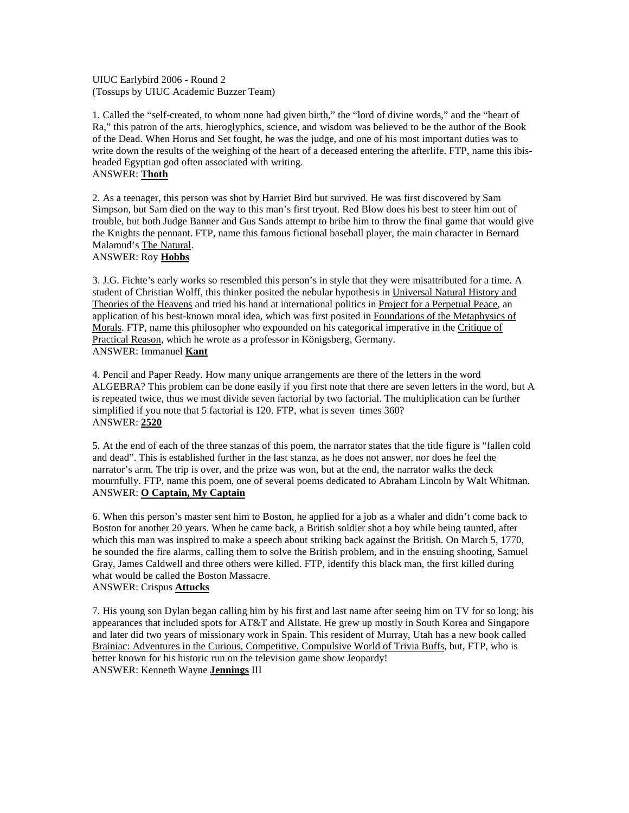UIUC Earlybird 2006 - Round 2 (Tossups by UIUC Academic Buzzer Team)

1. Called the "self-created, to whom none had given birth," the "lord of divine words," and the "heart of Ra," this patron of the arts, hieroglyphics, science, and wisdom was believed to be the author of the Book of the Dead. When Horus and Set fought, he was the judge, and one of his most important duties was to write down the results of the weighing of the heart of a deceased entering the afterlife. FTP, name this ibisheaded Egyptian god often associated with writing.

# ANSWER: **Thoth**

2. As a teenager, this person was shot by Harriet Bird but survived. He was first discovered by Sam Simpson, but Sam died on the way to this man's first tryout. Red Blow does his best to steer him out of trouble, but both Judge Banner and Gus Sands attempt to bribe him to throw the final game that would give the Knights the pennant. FTP, name this famous fictional baseball player, the main character in Bernard Malamud's The Natural. ANSWER: Roy **Hobbs**

3. J.G. Fichte's early works so resembled this person's in style that they were misattributed for a time. A student of Christian Wolff, this thinker posited the nebular hypothesis in Universal Natural History and Theories of the Heavens and tried his hand at international politics in Project for a Perpetual Peace, an application of his best-known moral idea, which was first posited in Foundations of the Metaphysics of Morals. FTP, name this philosopher who expounded on his categorical imperative in the Critique of Practical Reason, which he wrote as a professor in Königsberg, Germany. ANSWER: Immanuel **Kant**

4. Pencil and Paper Ready. How many unique arrangements are there of the letters in the word ALGEBRA? This problem can be done easily if you first note that there are seven letters in the word, but A is repeated twice, thus we must divide seven factorial by two factorial. The multiplication can be further simplified if you note that 5 factorial is 120. FTP, what is seven times 360? ANSWER: **2520**

5. At the end of each of the three stanzas of this poem, the narrator states that the title figure is "fallen cold and dead". This is established further in the last stanza, as he does not answer, nor does he feel the narrator's arm. The trip is over, and the prize was won, but at the end, the narrator walks the deck mournfully. FTP, name this poem, one of several poems dedicated to Abraham Lincoln by Walt Whitman. ANSWER: **O Captain, My Captain**

6. When this person's master sent him to Boston, he applied for a job as a whaler and didn't come back to Boston for another 20 years. When he came back, a British soldier shot a boy while being taunted, after which this man was inspired to make a speech about striking back against the British. On March 5, 1770, he sounded the fire alarms, calling them to solve the British problem, and in the ensuing shooting, Samuel Gray, James Caldwell and three others were killed. FTP, identify this black man, the first killed during what would be called the Boston Massacre. ANSWER: Crispus **Attucks**

7. His young son Dylan began calling him by his first and last name after seeing him on TV for so long; his appearances that included spots for AT&T and Allstate. He grew up mostly in South Korea and Singapore and later did two years of missionary work in Spain. This resident of Murray, Utah has a new book called Brainiac: Adventures in the Curious, Competitive, Compulsive World of Trivia Buffs, but, FTP, who is better known for his historic run on the television game show Jeopardy! ANSWER: Kenneth Wayne **Jennings** III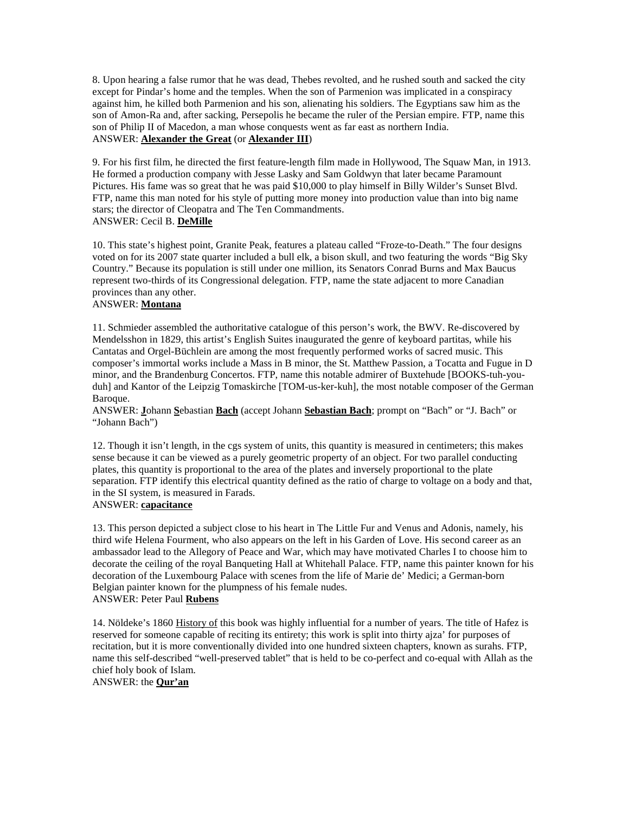8. Upon hearing a false rumor that he was dead, Thebes revolted, and he rushed south and sacked the city except for Pindar's home and the temples. When the son of Parmenion was implicated in a conspiracy against him, he killed both Parmenion and his son, alienating his soldiers. The Egyptians saw him as the son of Amon-Ra and, after sacking, Persepolis he became the ruler of the Persian empire. FTP, name this son of Philip II of Macedon, a man whose conquests went as far east as northern India. ANSWER: **Alexander the Great** (or **Alexander III**)

9. For his first film, he directed the first feature-length film made in Hollywood, The Squaw Man, in 1913. He formed a production company with Jesse Lasky and Sam Goldwyn that later became Paramount Pictures. His fame was so great that he was paid \$10,000 to play himself in Billy Wilder's Sunset Blvd. FTP, name this man noted for his style of putting more money into production value than into big name stars; the director of Cleopatra and The Ten Commandments. ANSWER: Cecil B. **DeMille**

10. This state's highest point, Granite Peak, features a plateau called "Froze-to-Death." The four designs voted on for its 2007 state quarter included a bull elk, a bison skull, and two featuring the words "Big Sky Country." Because its population is still under one million, its Senators Conrad Burns and Max Baucus represent two-thirds of its Congressional delegation. FTP, name the state adjacent to more Canadian provinces than any other.

# ANSWER: **Montana**

11. Schmieder assembled the authoritative catalogue of this person's work, the BWV. Re-discovered by Mendelsshon in 1829, this artist's English Suites inaugurated the genre of keyboard partitas, while his Cantatas and Orgel-Büchlein are among the most frequently performed works of sacred music. This composer's immortal works include a Mass in B minor, the St. Matthew Passion, a Tocatta and Fugue in D minor, and the Brandenburg Concertos. FTP, name this notable admirer of Buxtehude [BOOKS-tuh-youduh] and Kantor of the Leipzig Tomaskirche [TOM-us-ker-kuh], the most notable composer of the German Baroque.

ANSWER: **J**ohann **S**ebastian **Bach** (accept Johann **Sebastian Bach**; prompt on "Bach" or "J. Bach" or "Johann Bach")

12. Though it isn't length, in the cgs system of units, this quantity is measured in centimeters; this makes sense because it can be viewed as a purely geometric property of an object. For two parallel conducting plates, this quantity is proportional to the area of the plates and inversely proportional to the plate separation. FTP identify this electrical quantity defined as the ratio of charge to voltage on a body and that, in the SI system, is measured in Farads.

### ANSWER: **capacitance**

13. This person depicted a subject close to his heart in The Little Fur and Venus and Adonis, namely, his third wife Helena Fourment, who also appears on the left in his Garden of Love. His second career as an ambassador lead to the Allegory of Peace and War, which may have motivated Charles I to choose him to decorate the ceiling of the royal Banqueting Hall at Whitehall Palace. FTP, name this painter known for his decoration of the Luxembourg Palace with scenes from the life of Marie de' Medici; a German-born Belgian painter known for the plumpness of his female nudes.

# ANSWER: Peter Paul **Rubens**

14. Nöldeke's 1860 History of this book was highly influential for a number of years. The title of Hafez is reserved for someone capable of reciting its entirety; this work is split into thirty ajza' for purposes of recitation, but it is more conventionally divided into one hundred sixteen chapters, known as surahs. FTP, name this self-described "well-preserved tablet" that is held to be co-perfect and co-equal with Allah as the chief holy book of Islam.

ANSWER: the **Qur'an**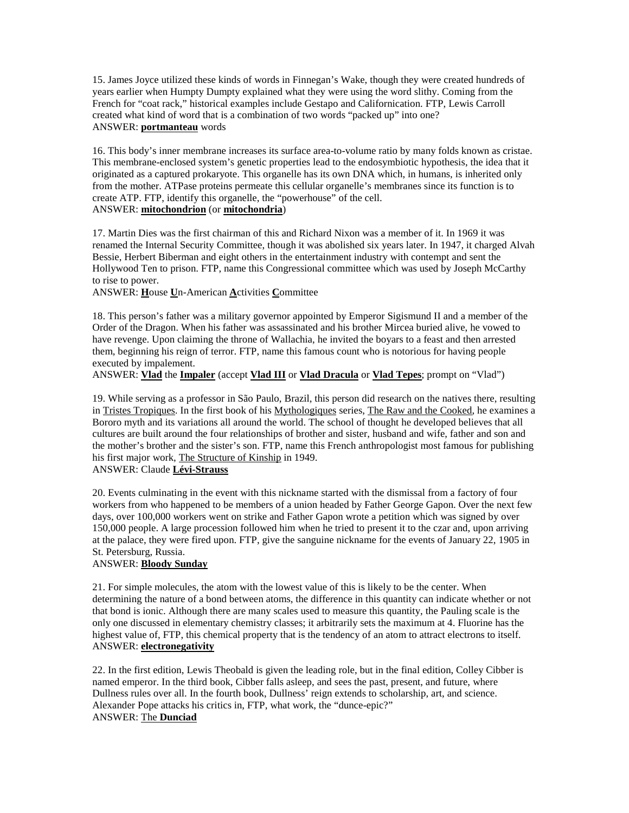15. James Joyce utilized these kinds of words in Finnegan's Wake, though they were created hundreds of years earlier when Humpty Dumpty explained what they were using the word slithy. Coming from the French for "coat rack," historical examples include Gestapo and Californication. FTP, Lewis Carroll created what kind of word that is a combination of two words "packed up" into one? ANSWER: **portmanteau** words

16. This body's inner membrane increases its surface area-to-volume ratio by many folds known as cristae. This membrane-enclosed system's genetic properties lead to the endosymbiotic hypothesis, the idea that it originated as a captured prokaryote. This organelle has its own DNA which, in humans, is inherited only from the mother. ATPase proteins permeate this cellular organelle's membranes since its function is to create ATP. FTP, identify this organelle, the "powerhouse" of the cell. ANSWER: **mitochondrion** (or **mitochondria**)

17. Martin Dies was the first chairman of this and Richard Nixon was a member of it. In 1969 it was renamed the Internal Security Committee, though it was abolished six years later. In 1947, it charged Alvah Bessie, Herbert Biberman and eight others in the entertainment industry with contempt and sent the Hollywood Ten to prison. FTP, name this Congressional committee which was used by Joseph McCarthy to rise to power.

ANSWER: **H**ouse **U**n-American **A**ctivities **C**ommittee

18. This person's father was a military governor appointed by Emperor Sigismund II and a member of the Order of the Dragon. When his father was assassinated and his brother Mircea buried alive, he vowed to have revenge. Upon claiming the throne of Wallachia, he invited the boyars to a feast and then arrested them, beginning his reign of terror. FTP, name this famous count who is notorious for having people executed by impalement.

ANSWER: **Vlad** the **Impaler** (accept **Vlad III** or **Vlad Dracula** or **Vlad Tepes**; prompt on "Vlad")

19. While serving as a professor in São Paulo, Brazil, this person did research on the natives there, resulting in Tristes Tropiques. In the first book of his Mythologiques series, The Raw and the Cooked, he examines a Bororo myth and its variations all around the world. The school of thought he developed believes that all cultures are built around the four relationships of brother and sister, husband and wife, father and son and the mother's brother and the sister's son. FTP, name this French anthropologist most famous for publishing his first major work, The Structure of Kinship in 1949.

ANSWER: Claude **Lévi-Strauss**

20. Events culminating in the event with this nickname started with the dismissal from a factory of four workers from who happened to be members of a union headed by Father George Gapon. Over the next few days, over 100,000 workers went on strike and Father Gapon wrote a petition which was signed by over 150,000 people. A large procession followed him when he tried to present it to the czar and, upon arriving at the palace, they were fired upon. FTP, give the sanguine nickname for the events of January 22, 1905 in St. Petersburg, Russia.

### ANSWER: **Bloody Sunday**

21. For simple molecules, the atom with the lowest value of this is likely to be the center. When determining the nature of a bond between atoms, the difference in this quantity can indicate whether or not that bond is ionic. Although there are many scales used to measure this quantity, the Pauling scale is the only one discussed in elementary chemistry classes; it arbitrarily sets the maximum at 4. Fluorine has the highest value of, FTP, this chemical property that is the tendency of an atom to attract electrons to itself. ANSWER: **electronegativity**

22. In the first edition, Lewis Theobald is given the leading role, but in the final edition, Colley Cibber is named emperor. In the third book, Cibber falls asleep, and sees the past, present, and future, where Dullness rules over all. In the fourth book, Dullness' reign extends to scholarship, art, and science. Alexander Pope attacks his critics in, FTP, what work, the "dunce-epic?" ANSWER: The **Dunciad**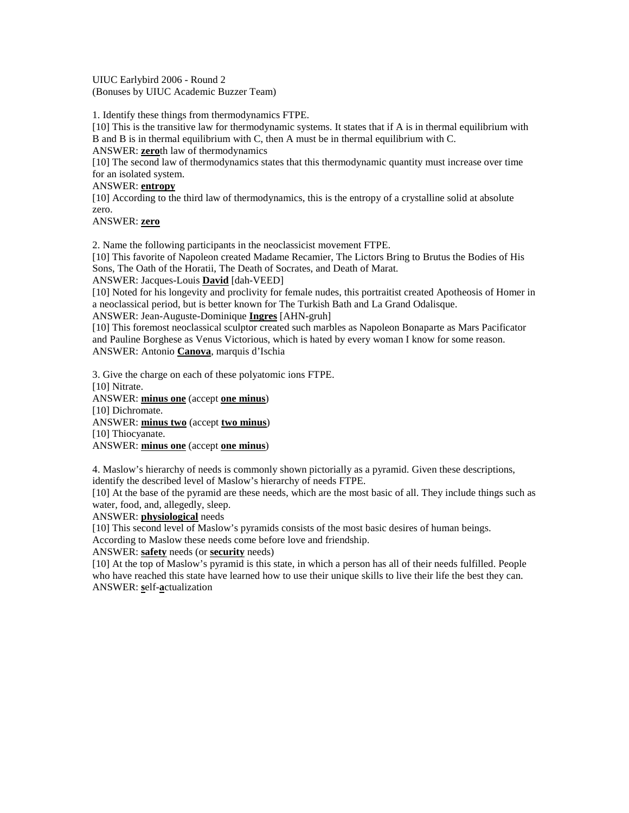UIUC Earlybird 2006 - Round 2 (Bonuses by UIUC Academic Buzzer Team)

1. Identify these things from thermodynamics FTPE.

[10] This is the transitive law for thermodynamic systems. It states that if A is in thermal equilibrium with B and B is in thermal equilibrium with C, then A must be in thermal equilibrium with C. ANSWER: **zero**th law of thermodynamics

[10] The second law of thermodynamics states that this thermodynamic quantity must increase over time for an isolated system.

### ANSWER: **entropy**

[10] According to the third law of thermodynamics, this is the entropy of a crystalline solid at absolute zero.

ANSWER: **zero**

2. Name the following participants in the neoclassicist movement FTPE.

[10] This favorite of Napoleon created Madame Recamier, The Lictors Bring to Brutus the Bodies of His Sons, The Oath of the Horatii, The Death of Socrates, and Death of Marat.

ANSWER: Jacques-Louis **David** [dah-VEED]

[10] Noted for his longevity and proclivity for female nudes, this portraitist created Apotheosis of Homer in a neoclassical period, but is better known for The Turkish Bath and La Grand Odalisque.

ANSWER: Jean-Auguste-Dominique **Ingres** [AHN-gruh]

[10] This foremost neoclassical sculptor created such marbles as Napoleon Bonaparte as Mars Pacificator and Pauline Borghese as Venus Victorious, which is hated by every woman I know for some reason. ANSWER: Antonio **Canova**, marquis d'Ischia

3. Give the charge on each of these polyatomic ions FTPE.

[10] Nitrate. ANSWER: **minus one** (accept **one minus**) [10] Dichromate. ANSWER: **minus two** (accept **two minus**) [10] Thiocyanate. ANSWER: **minus one** (accept **one minus**)

4. Maslow's hierarchy of needs is commonly shown pictorially as a pyramid. Given these descriptions, identify the described level of Maslow's hierarchy of needs FTPE.

[10] At the base of the pyramid are these needs, which are the most basic of all. They include things such as water, food, and, allegedly, sleep.

### ANSWER: **physiological** needs

[10] This second level of Maslow's pyramids consists of the most basic desires of human beings.

According to Maslow these needs come before love and friendship.

ANSWER: **safety** needs (or **security** needs)

[10] At the top of Maslow's pyramid is this state, in which a person has all of their needs fulfilled. People who have reached this state have learned how to use their unique skills to live their life the best they can. ANSWER: **s**elf-**a**ctualization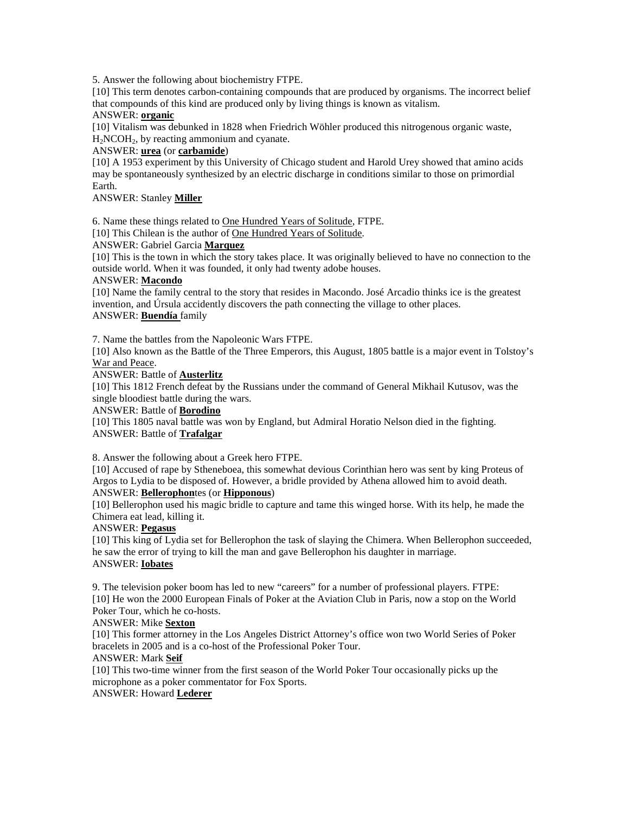5. Answer the following about biochemistry FTPE.

[10] This term denotes carbon-containing compounds that are produced by organisms. The incorrect belief that compounds of this kind are produced only by living things is known as vitalism.

# ANSWER: **organic**

[10] Vitalism was debunked in 1828 when Friedrich Wöhler produced this nitrogenous organic waste,  $H<sub>2</sub>NCOH<sub>2</sub>$ , by reacting ammonium and cyanate.

### ANSWER: **urea** (or **carbamide**)

[10] A 1953 experiment by this University of Chicago student and Harold Urey showed that amino acids may be spontaneously synthesized by an electric discharge in conditions similar to those on primordial Earth.

### ANSWER: Stanley **Miller**

6. Name these things related to One Hundred Years of Solitude, FTPE.

[10] This Chilean is the author of One Hundred Years of Solitude.

#### ANSWER: Gabriel Garcia **Marquez**

[10] This is the town in which the story takes place. It was originally believed to have no connection to the outside world. When it was founded, it only had twenty adobe houses.

#### ANSWER: **Macondo**

[10] Name the family central to the story that resides in Macondo. José Arcadio thinks ice is the greatest invention, and Úrsula accidently discovers the path connecting the village to other places. ANSWER: **Buendía** family

#### 7. Name the battles from the Napoleonic Wars FTPE.

[10] Also known as the Battle of the Three Emperors, this August, 1805 battle is a major event in Tolstoy's War and Peace.

ANSWER: Battle of **Austerlitz**

[10] This 1812 French defeat by the Russians under the command of General Mikhail Kutusov, was the single bloodiest battle during the wars.

#### ANSWER: Battle of **Borodino**

[10] This 1805 naval battle was won by England, but Admiral Horatio Nelson died in the fighting. ANSWER: Battle of **Trafalgar**

#### 8. Answer the following about a Greek hero FTPE.

[10] Accused of rape by Stheneboea, this somewhat devious Corinthian hero was sent by king Proteus of Argos to Lydia to be disposed of. However, a bridle provided by Athena allowed him to avoid death. ANSWER: **Bellerophon**tes (or **Hipponous**)

[10] Bellerophon used his magic bridle to capture and tame this winged horse. With its help, he made the Chimera eat lead, killing it.

### ANSWER: **Pegasus**

[10] This king of Lydia set for Bellerophon the task of slaying the Chimera. When Bellerophon succeeded, he saw the error of trying to kill the man and gave Bellerophon his daughter in marriage. ANSWER: **Iobates**

9. The television poker boom has led to new "careers" for a number of professional players. FTPE: [10] He won the 2000 European Finals of Poker at the Aviation Club in Paris, now a stop on the World Poker Tour, which he co-hosts.

### ANSWER: Mike **Sexton**

[10] This former attorney in the Los Angeles District Attorney's office won two World Series of Poker bracelets in 2005 and is a co-host of the Professional Poker Tour.

### ANSWER: Mark **Seif**

[10] This two-time winner from the first season of the World Poker Tour occasionally picks up the microphone as a poker commentator for Fox Sports.

# ANSWER: Howard **Lederer**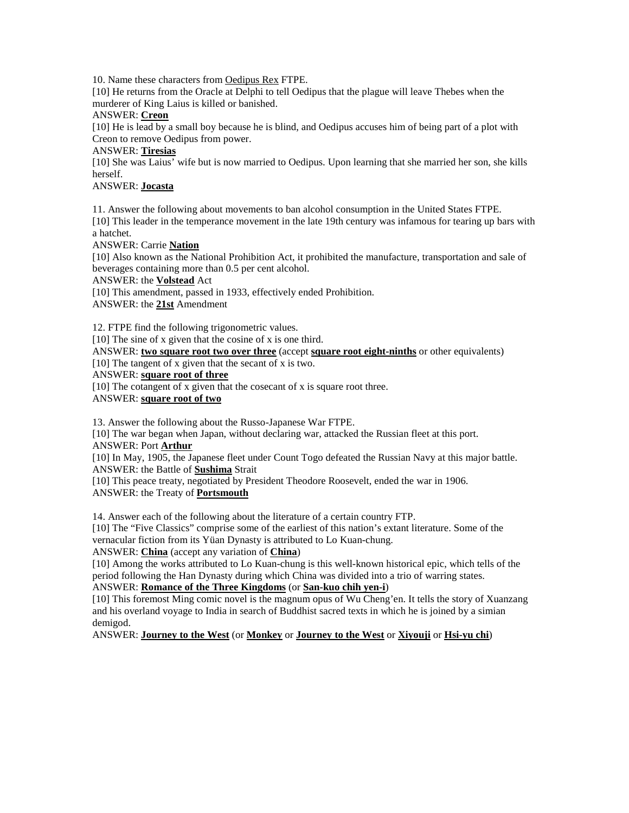10. Name these characters from Oedipus Rex FTPE.

[10] He returns from the Oracle at Delphi to tell Oedipus that the plague will leave Thebes when the murderer of King Laius is killed or banished.

# ANSWER: **Creon**

[10] He is lead by a small boy because he is blind, and Oedipus accuses him of being part of a plot with Creon to remove Oedipus from power.

### ANSWER: **Tiresias**

[10] She was Laius' wife but is now married to Oedipus. Upon learning that she married her son, she kills herself.

# ANSWER: **Jocasta**

11. Answer the following about movements to ban alcohol consumption in the United States FTPE. [10] This leader in the temperance movement in the late 19th century was infamous for tearing up bars with a hatchet.

ANSWER: Carrie **Nation**

[10] Also known as the National Prohibition Act, it prohibited the manufacture, transportation and sale of beverages containing more than 0.5 per cent alcohol.

ANSWER: the **Volstead** Act

[10] This amendment, passed in 1933, effectively ended Prohibition.

ANSWER: the **21st** Amendment

12. FTPE find the following trigonometric values.

[10] The sine of x given that the cosine of x is one third.

ANSWER: **two square root two over three** (accept **square root eight-ninths** or other equivalents)

[10] The tangent of x given that the secant of x is two.

ANSWER: **square root of three**

[10] The cotangent of x given that the cosecant of x is square root three.

ANSWER: **square root of two**

13. Answer the following about the Russo-Japanese War FTPE.

[10] The war began when Japan, without declaring war, attacked the Russian fleet at this port. ANSWER: Port **Arthur**

[10] In May, 1905, the Japanese fleet under Count Togo defeated the Russian Navy at this major battle. ANSWER: the Battle of **Sushima** Strait

[10] This peace treaty, negotiated by President Theodore Roosevelt, ended the war in 1906. ANSWER: the Treaty of **Portsmouth**

14. Answer each of the following about the literature of a certain country FTP.

[10] The "Five Classics" comprise some of the earliest of this nation's extant literature. Some of the vernacular fiction from its Yüan Dynasty is attributed to Lo Kuan-chung.

### ANSWER: **China** (accept any variation of **China**)

[10] Among the works attributed to Lo Kuan-chung is this well-known historical epic, which tells of the period following the Han Dynasty during which China was divided into a trio of warring states. ANSWER: **Romance of the Three Kingdoms** (or **San-kuo chih yen-i**)

[10] This foremost Ming comic novel is the magnum opus of Wu Cheng'en. It tells the story of Xuanzang and his overland voyage to India in search of Buddhist sacred texts in which he is joined by a simian demigod.

ANSWER: **Journey to the West** (or **Monkey** or **Journey to the West** or **Xiyouji** or **Hsi-yu chi**)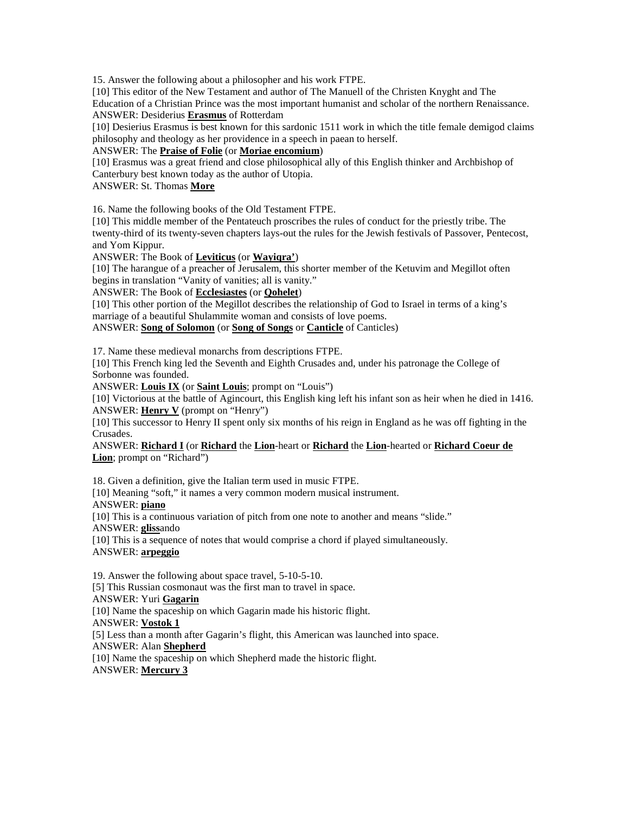15. Answer the following about a philosopher and his work FTPE.

[10] This editor of the New Testament and author of The Manuell of the Christen Knyght and The Education of a Christian Prince was the most important humanist and scholar of the northern Renaissance. ANSWER: Desiderius **Erasmus** of Rotterdam

[10] Desierius Erasmus is best known for this sardonic 1511 work in which the title female demigod claims philosophy and theology as her providence in a speech in paean to herself.

ANSWER: The **Praise of Folie** (or **Moriae encomium**)

[10] Erasmus was a great friend and close philosophical ally of this English thinker and Archbishop of Canterbury best known today as the author of Utopia.

ANSWER: St. Thomas **More**

16. Name the following books of the Old Testament FTPE.

[10] This middle member of the Pentateuch proscribes the rules of conduct for the priestly tribe. The twenty-third of its twenty-seven chapters lays-out the rules for the Jewish festivals of Passover, Pentecost, and Yom Kippur.

ANSWER: The Book of **Leviticus** (or **Wayiqra'**)

[10] The harangue of a preacher of Jerusalem, this shorter member of the Ketuvim and Megillot often begins in translation "Vanity of vanities; all is vanity."

ANSWER: The Book of **Ecclesiastes** (or **Qohelet**)

[10] This other portion of the Megillot describes the relationship of God to Israel in terms of a king's marriage of a beautiful Shulammite woman and consists of love poems.

ANSWER: **Song of Solomon** (or **Song of Songs** or **Canticle** of Canticles)

17. Name these medieval monarchs from descriptions FTPE.

[10] This French king led the Seventh and Eighth Crusades and, under his patronage the College of Sorbonne was founded.

ANSWER: **Louis IX** (or **Saint Louis**; prompt on "Louis")

[10] Victorious at the battle of Agincourt, this English king left his infant son as heir when he died in 1416. ANSWER: **Henry V** (prompt on "Henry")

[10] This successor to Henry II spent only six months of his reign in England as he was off fighting in the Crusades.

ANSWER: **Richard I** (or **Richard** the **Lion**-heart or **Richard** the **Lion**-hearted or **Richard Coeur de Lion**; prompt on "Richard")

18. Given a definition, give the Italian term used in music FTPE.

[10] Meaning "soft," it names a very common modern musical instrument.

ANSWER: **piano**

[10] This is a continuous variation of pitch from one note to another and means "slide." ANSWER: **gliss**ando

[10] This is a sequence of notes that would comprise a chord if played simultaneously. ANSWER: **arpeggio**

19. Answer the following about space travel, 5-10-5-10. [5] This Russian cosmonaut was the first man to travel in space. ANSWER: Yuri **Gagarin** [10] Name the spaceship on which Gagarin made his historic flight. ANSWER: **Vostok 1** [5] Less than a month after Gagarin's flight, this American was launched into space. ANSWER: Alan **Shepherd** [10] Name the spaceship on which Shepherd made the historic flight. ANSWER: **Mercury 3**